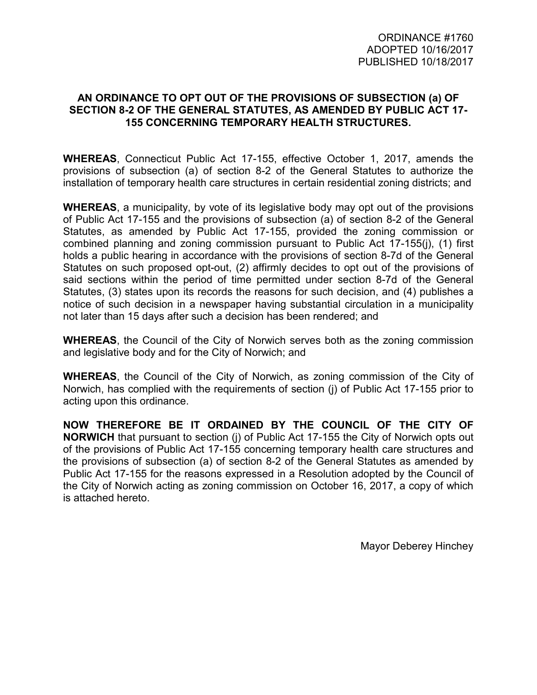## **AN ORDINANCE TO OPT OUT OF THE PROVISIONS OF SUBSECTION (a) OF SECTION 8-2 OF THE GENERAL STATUTES, AS AMENDED BY PUBLIC ACT 17- 155 CONCERNING TEMPORARY HEALTH STRUCTURES.**

**WHEREAS**, Connecticut Public Act 17-155, effective October 1, 2017, amends the provisions of subsection (a) of section 8-2 of the General Statutes to authorize the installation of temporary health care structures in certain residential zoning districts; and

**WHEREAS**, a municipality, by vote of its legislative body may opt out of the provisions of Public Act 17-155 and the provisions of subsection (a) of section 8-2 of the General Statutes, as amended by Public Act 17-155, provided the zoning commission or combined planning and zoning commission pursuant to Public Act 17-155(j), (1) first holds a public hearing in accordance with the provisions of section 8-7d of the General Statutes on such proposed opt-out, (2) affirmly decides to opt out of the provisions of said sections within the period of time permitted under section 8-7d of the General Statutes, (3) states upon its records the reasons for such decision, and (4) publishes a notice of such decision in a newspaper having substantial circulation in a municipality not later than 15 days after such a decision has been rendered; and

**WHEREAS**, the Council of the City of Norwich serves both as the zoning commission and legislative body and for the City of Norwich; and

**WHEREAS**, the Council of the City of Norwich, as zoning commission of the City of Norwich, has complied with the requirements of section (j) of Public Act 17-155 prior to acting upon this ordinance.

**NOW THEREFORE BE IT ORDAINED BY THE COUNCIL OF THE CITY OF NORWICH** that pursuant to section (j) of Public Act 17-155 the City of Norwich opts out of the provisions of Public Act 17-155 concerning temporary health care structures and the provisions of subsection (a) of section 8-2 of the General Statutes as amended by Public Act 17-155 for the reasons expressed in a Resolution adopted by the Council of the City of Norwich acting as zoning commission on October 16, 2017, a copy of which is attached hereto.

Mayor Deberey Hinchey